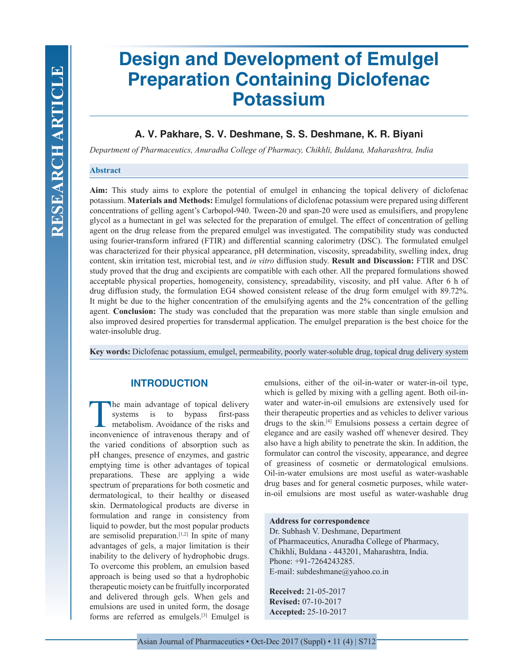# **Design and Development of Emulgel Preparation Containing Diclofenac Potassium**

# **A. V. Pakhare, S. V. Deshmane, S. S. Deshmane, K. R. Biyani**

*Department of Pharmaceutics, Anuradha College of Pharmacy, Chikhli, Buldana, Maharashtra, India*

#### **Abstract**

**Aim:** This study aims to explore the potential of emulgel in enhancing the topical delivery of diclofenac potassium. **Materials and Methods:** Emulgel formulations of diclofenac potassium were prepared using different concentrations of gelling agent's Carbopol-940. Tween-20 and span-20 were used as emulsifiers, and propylene glycol as a humectant in gel was selected for the preparation of emulgel. The effect of concentration of gelling agent on the drug release from the prepared emulgel was investigated. The compatibility study was conducted using fourier-transform infrared (FTIR) and differential scanning calorimetry (DSC). The formulated emulgel was characterized for their physical appearance, pH determination, viscosity, spreadability, swelling index, drug content, skin irritation test, microbial test, and *in vitro* diffusion study. **Result and Discussion:** FTIR and DSC study proved that the drug and excipients are compatible with each other. All the prepared formulations showed acceptable physical properties, homogeneity, consistency, spreadability, viscosity, and pH value. After 6 h of drug diffusion study, the formulation EG4 showed consistent release of the drug form emulgel with 89.72%. It might be due to the higher concentration of the emulsifying agents and the 2% concentration of the gelling agent. **Conclusion:** The study was concluded that the preparation was more stable than single emulsion and also improved desired properties for transdermal application. The emulgel preparation is the best choice for the water-insoluble drug.

**Key words:** Diclofenac potassium, emulgel, permeability, poorly water-soluble drug, topical drug delivery system

# **INTRODUCTION**

The main advantage of topical delivery<br>systems is to bypass first-pass first-pass metabolism. Avoidance of the risks and inconvenience of intravenous therapy and of the varied conditions of absorption such as pH changes, presence of enzymes, and gastric emptying time is other advantages of topical preparations. These are applying a wide spectrum of preparations for both cosmetic and dermatological, to their healthy or diseased skin. Dermatological products are diverse in formulation and range in consistency from liquid to powder, but the most popular products are semisolid preparation. $[1,2]$  In spite of many advantages of gels, a major limitation is their inability to the delivery of hydrophobic drugs. To overcome this problem, an emulsion based approach is being used so that a hydrophobic therapeutic moiety can be fruitfully incorporated and delivered through gels. When gels and emulsions are used in united form, the dosage forms are referred as emulgels.[3] Emulgel is

emulsions, either of the oil-in-water or water-in-oil type, which is gelled by mixing with a gelling agent. Both oil-inwater and water-in-oil emulsions are extensively used for their therapeutic properties and as vehicles to deliver various drugs to the skin.[4] Emulsions possess a certain degree of elegance and are easily washed off whenever desired. They also have a high ability to penetrate the skin. In addition, the formulator can control the viscosity, appearance, and degree of greasiness of cosmetic or dermatological emulsions. Oil-in-water emulsions are most useful as water-washable drug bases and for general cosmetic purposes, while waterin-oil emulsions are most useful as water-washable drug

#### **Address for correspondence**

Dr. Subhash V. Deshmane, Department of Pharmaceutics, Anuradha College of Pharmacy, Chikhli, Buldana - 443201, Maharashtra, India. Phone: +91-7264243285. E-mail: subdeshmane@yahoo.co.in

**Received:** 21-05-2017 **Revised:** 07-10-2017 **Accepted:** 25-10-2017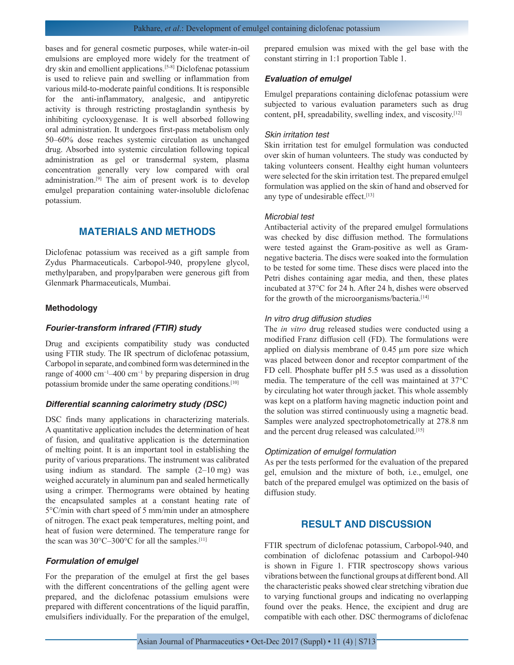bases and for general cosmetic purposes, while water-in-oil emulsions are employed more widely for the treatment of dry skin and emollient applications.[5-8] Diclofenac potassium is used to relieve pain and swelling or inflammation from various mild-to-moderate painful conditions. It is responsible for the anti-inflammatory, analgesic, and antipyretic activity is through restricting prostaglandin synthesis by inhibiting cyclooxygenase. It is well absorbed following oral administration. It undergoes first-pass metabolism only 50–60% dose reaches systemic circulation as unchanged drug. Absorbed into systemic circulation following topical administration as gel or transdermal system, plasma concentration generally very low compared with oral administration.[9] The aim of present work is to develop emulgel preparation containing water-insoluble diclofenac potassium.

# **MATERIALS AND METHODS**

Diclofenac potassium was received as a gift sample from Zydus Pharmaceuticals. Carbopol-940, propylene glycol, methylparaben, and propylparaben were generous gift from Glenmark Pharmaceuticals, Mumbai.

#### **Methodology**

#### *Fourier-transform infrared (FTIR) study*

Drug and excipients compatibility study was conducted using FTIR study. The IR spectrum of diclofenac potassium, Carbopol in separate, and combined form was determined in the range of 4000 cm−1–400 cm−1 by preparing dispersion in drug potassium bromide under the same operating conditions.[10]

## *Differential scanning calorimetry study (DSC)*

DSC finds many applications in characterizing materials. A quantitative application includes the determination of heat of fusion, and qualitative application is the determination of melting point. It is an important tool in establishing the purity of various preparations. The instrument was calibrated using indium as standard. The sample (2–10 mg) was weighed accurately in aluminum pan and sealed hermetically using a crimper. Thermograms were obtained by heating the encapsulated samples at a constant heating rate of 5°C/min with chart speed of 5 mm/min under an atmosphere of nitrogen. The exact peak temperatures, melting point, and heat of fusion were determined. The temperature range for the scan was  $30^{\circ}$ C-300°C for all the samples.<sup>[11]</sup>

## *Formulation of emulgel*

For the preparation of the emulgel at first the gel bases with the different concentrations of the gelling agent were prepared, and the diclofenac potassium emulsions were prepared with different concentrations of the liquid paraffin, emulsifiers individually. For the preparation of the emulgel, prepared emulsion was mixed with the gel base with the constant stirring in 1:1 proportion Table 1.

#### *Evaluation of emulgel*

Emulgel preparations containing diclofenac potassium were subjected to various evaluation parameters such as drug content, pH, spreadability, swelling index, and viscosity.[12]

#### *Skin irritation test*

Skin irritation test for emulgel formulation was conducted over skin of human volunteers. The study was conducted by taking volunteers consent. Healthy eight human volunteers were selected for the skin irritation test. The prepared emulgel formulation was applied on the skin of hand and observed for any type of undesirable effect.[13]

#### *Microbial test*

Antibacterial activity of the prepared emulgel formulations was checked by disc diffusion method. The formulations were tested against the Gram-positive as well as Gramnegative bacteria. The discs were soaked into the formulation to be tested for some time. These discs were placed into the Petri dishes containing agar media, and then, these plates incubated at 37°C for 24 h. After 24 h, dishes were observed for the growth of the microorganisms/bacteria.<sup>[14]</sup>

#### *In vitro drug diffusion studies*

The *in vitro* drug released studies were conducted using a modified Franz diffusion cell (FD). The formulations were applied on dialysis membrane of 0.45 µm pore size which was placed between donor and receptor compartment of the FD cell. Phosphate buffer pH 5.5 was used as a dissolution media. The temperature of the cell was maintained at 37°C by circulating hot water through jacket. This whole assembly was kept on a platform having magnetic induction point and the solution was stirred continuously using a magnetic bead. Samples were analyzed spectrophotometrically at 278.8 nm and the percent drug released was calculated.<sup>[15]</sup>

#### *Optimization of emulgel formulation*

As per the tests performed for the evaluation of the prepared gel, emulsion and the mixture of both, i.e., emulgel, one batch of the prepared emulgel was optimized on the basis of diffusion study.

## **RESULT AND DISCUSSION**

FTIR spectrum of diclofenac potassium, Carbopol-940, and combination of diclofenac potassium and Carbopol-940 is shown in Figure 1. FTIR spectroscopy shows various vibrations between the functional groups at different bond. All the characteristic peaks showed clear stretching vibration due to varying functional groups and indicating no overlapping found over the peaks. Hence, the excipient and drug are compatible with each other. DSC thermograms of diclofenac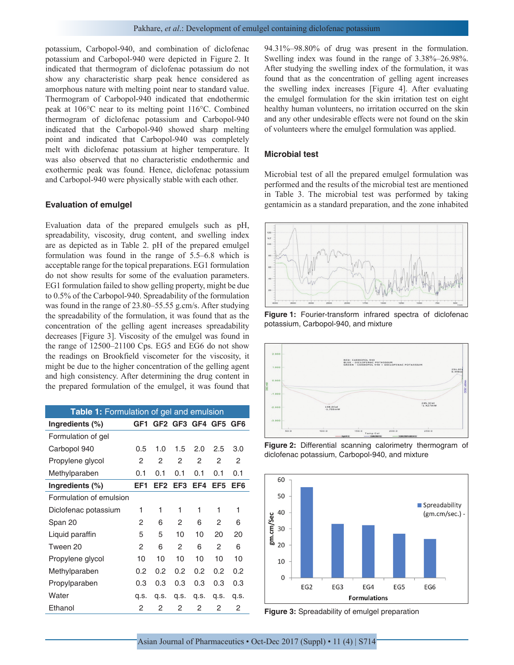potassium, Carbopol-940, and combination of diclofenac potassium and Carbopol-940 were depicted in Figure 2. It indicated that thermogram of diclofenac potassium do not show any characteristic sharp peak hence considered as amorphous nature with melting point near to standard value. Thermogram of Carbopol-940 indicated that endothermic peak at 106°C near to its melting point 116°C. Combined thermogram of diclofenac potassium and Carbopol-940 indicated that the Carbopol-940 showed sharp melting point and indicated that Carbopol-940 was completely melt with diclofenac potassium at higher temperature. It was also observed that no characteristic endothermic and exothermic peak was found. Hence, diclofenac potassium and Carbopol-940 were physically stable with each other.

#### **Evaluation of emulgel**

Evaluation data of the prepared emulgels such as pH, spreadability, viscosity, drug content, and swelling index are as depicted as in Table 2. pH of the prepared emulgel formulation was found in the range of 5.5–6.8 which is acceptable range for the topical preparations. EG1 formulation do not show results for some of the evaluation parameters. EG1 formulation failed to show gelling property, might be due to 0.5% of the Carbopol-940. Spreadability of the formulation was found in the range of 23.80–55.55 g.cm/s. After studying the spreadability of the formulation, it was found that as the concentration of the gelling agent increases spreadability decreases [Figure 3]. Viscosity of the emulgel was found in the range of 12500–21100 Cps. EG5 and EG6 do not show the readings on Brookfield viscometer for the viscosity, it might be due to the higher concentration of the gelling agent and high consistency. After determining the drug content in the prepared formulation of the emulgel, it was found that

| <b>Table 1:</b> Formulation of gel and emulsion |      |                 |         |      |                 |                 |
|-------------------------------------------------|------|-----------------|---------|------|-----------------|-----------------|
| Ingredients (%)                                 | GF1  |                 | GF2 GF3 | GF4  | GF <sub>5</sub> | GF <sub>6</sub> |
| Formulation of gel                              |      |                 |         |      |                 |                 |
| Carbopol 940                                    | 0.5  | 1.0             | 1.5     | 2.0  | 2.5             | 3.0             |
| Propylene glycol                                | 2    | 2               | 2       | 2    | $\overline{2}$  | 2               |
| Methylparaben                                   | 0.1  | 0.1             | 0.1     | 0.1  | 0.1             | 0.1             |
| Ingredients $(\%)$                              | EF1  | EF <sub>2</sub> | EF3     | EF4  | EF <sub>5</sub> | EF6             |
| Formulation of emulsion                         |      |                 |         |      |                 |                 |
| Diclofenac potassium                            | 1    | 1               | 1       | 1    | 1               | 1               |
| Span 20                                         | 2    | 6               | 2       | 6    | 2               | 6               |
| Liquid paraffin                                 | 5    | 5               | 10      | 10   | 20              | 20              |
| Tween 20                                        | 2    | 6               | 2       | 6    | 2               | 6               |
| Propylene glycol                                | 10   | 10              | 10      | 10   | 10              | 10              |
| Methylparaben                                   | 0.2  | 0.2             | 0.2     | 0.2  | 0.2             | 0.2             |
| Propylparaben                                   | 0.3  | 0.3             | 0.3     | 0.3  | 0.3             | 0.3             |
| Water                                           | q.s. | q.s.            | q.s.    | q.s. | q.s.            | q.s.            |
| Ethanol                                         | 2    | 2               | 2       | 2    | 2               | 2               |

94.31%–98.80% of drug was present in the formulation. Swelling index was found in the range of 3.38%–26.98%. After studying the swelling index of the formulation, it was found that as the concentration of gelling agent increases the swelling index increases [Figure 4]. After evaluating the emulgel formulation for the skin irritation test on eight healthy human volunteers, no irritation occurred on the skin and any other undesirable effects were not found on the skin of volunteers where the emulgel formulation was applied.

#### **Microbial test**

Microbial test of all the prepared emulgel formulation was performed and the results of the microbial test are mentioned in Table 3. The microbial test was performed by taking gentamicin as a standard preparation, and the zone inhabited



**Figure 1:** Fourier-transform infrared spectra of diclofenac potassium, Carbopol-940, and mixture



**Figure 2:** Differential scanning calorimetry thermogram of diclofenac potassium, Carbopol-940, and mixture



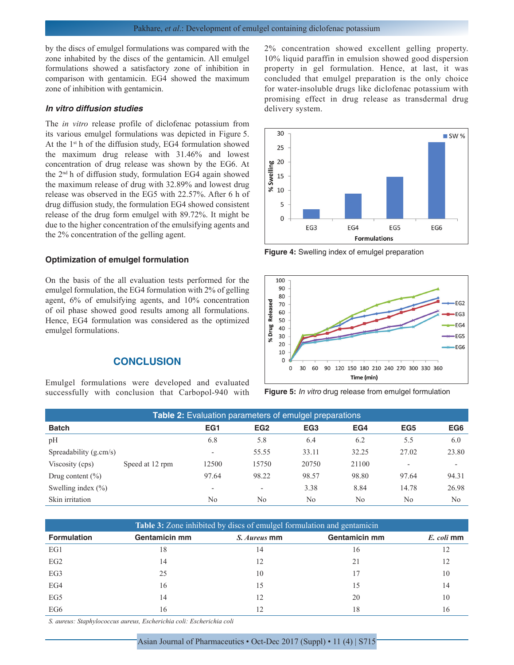## Pakhare, *et al*.: Development of emulgel containing diclofenac potassium

by the discs of emulgel formulations was compared with the zone inhabited by the discs of the gentamicin. All emulgel formulations showed a satisfactory zone of inhibition in comparison with gentamicin. EG4 showed the maximum zone of inhibition with gentamicin.

#### *In vitro diffusion studies*

The *in vitro* release profile of diclofenac potassium from its various emulgel formulations was depicted in Figure 5. At the 1<sup>st</sup> h of the diffusion study, EG4 formulation showed the maximum drug release with 31.46% and lowest concentration of drug release was shown by the EG6. At the 2nd h of diffusion study, formulation EG4 again showed the maximum release of drug with 32.89% and lowest drug release was observed in the EG5 with 22.57%. After 6 h of drug diffusion study, the formulation EG4 showed consistent release of the drug form emulgel with 89.72%. It might be due to the higher concentration of the emulsifying agents and the 2% concentration of the gelling agent.

#### **Optimization of emulgel formulation**

On the basis of the all evaluation tests performed for the emulgel formulation, the EG4 formulation with 2% of gelling agent, 6% of emulsifying agents, and 10% concentration of oil phase showed good results among all formulations. Hence, EG4 formulation was considered as the optimized emulgel formulations.

## **CONCLUSION**

Emulgel formulations were developed and evaluated successfully with conclusion that Carbopol-940 with 2% concentration showed excellent gelling property. 10% liquid paraffin in emulsion showed good dispersion property in gel formulation. Hence, at last, it was concluded that emulgel preparation is the only choice for water-insoluble drugs like diclofenac potassium with promising effect in drug release as transdermal drug delivery system.



**Figure 4:** Swelling index of emulgel preparation



**Figure 5:** *In vitro* drug release from emulgel formulation

| <b>Table 2:</b> Evaluation parameters of emulgel preparations |                 |                          |                          |                 |       |                          |                          |
|---------------------------------------------------------------|-----------------|--------------------------|--------------------------|-----------------|-------|--------------------------|--------------------------|
| <b>Batch</b>                                                  |                 | EG1                      | EG <sub>2</sub>          | EG <sub>3</sub> | EG4   | EG <sub>5</sub>          | EG <sub>6</sub>          |
| pH                                                            |                 | 6.8                      | 5.8                      | 6.4             | 6.2   | 5.5                      | 6.0                      |
| Spreadability $(g.cm/s)$                                      |                 | $\overline{\phantom{a}}$ | 55.55                    | 33.11           | 32.25 | 27.02                    | 23.80                    |
| Viscosity (cps)                                               | Speed at 12 rpm | 12500                    | 15750                    | 20750           | 21100 | $\overline{\phantom{0}}$ | $\overline{\phantom{a}}$ |
| Drug content $(\% )$                                          |                 | 97.64                    | 98.22                    | 98.57           | 98.80 | 97.64                    | 94.31                    |
| Swelling index $(\% )$                                        |                 | $\overline{\phantom{0}}$ | $\overline{\phantom{a}}$ | 3.38            | 8.84  | 14.78                    | 26.98                    |
| Skin irritation                                               |                 | No                       | N <sub>0</sub>           | N <sub>0</sub>  | No    | N <sub>0</sub>           | N <sub>0</sub>           |

| <b>Table 3:</b> Zone inhibited by discs of emulgel formulation and gentamicin |               |              |                      |            |  |  |
|-------------------------------------------------------------------------------|---------------|--------------|----------------------|------------|--|--|
| <b>Formulation</b>                                                            | Gentamicin mm | S. Aureus mm | <b>Gentamicin mm</b> | E. coli mm |  |  |
| EG1                                                                           | 18            | 14           | 16                   |            |  |  |
| EG2                                                                           | 14            | 12           | 21                   |            |  |  |
| EG3                                                                           | 25            | 10           |                      | 10         |  |  |
| EG4                                                                           | 16            | 15           | $\mathcal{L}$        | 14         |  |  |
| EG5                                                                           | 14            |              | 20                   | 10         |  |  |
| EG6                                                                           | 16            |              | 18                   | 16         |  |  |

*S. aureus: Staphylococcus aureus, Escherichia coli: Escherichia coli*